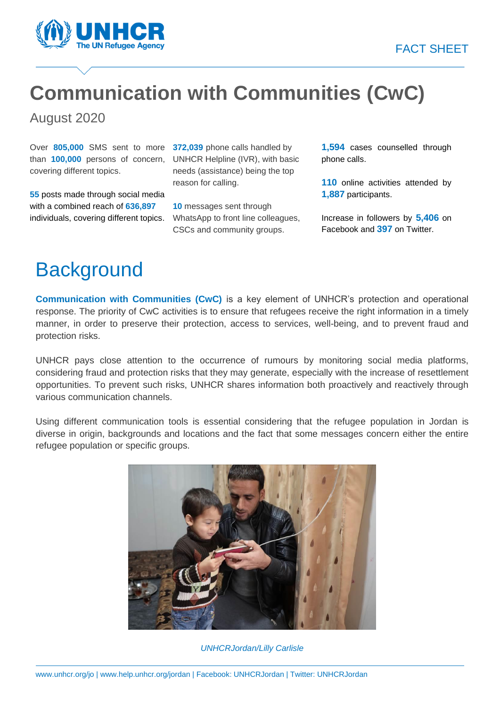#### FACT SHEET



# **Communication with Communities (CwC)**

August 2020

Over **805,000** SMS sent to more **372,039** phone calls handled by than **100,000** persons of concern, covering different topics.

**55** posts made through social media with a combined reach of **636,897** individuals, covering different topics.

UNHCR Helpline (IVR), with basic needs (assistance) being the top reason for calling.

**10** messages sent through WhatsApp to front line colleagues, CSCs and community groups.

**1,594** cases counselled through phone calls.

**110** online activities attended by **1,887** participants.

Increase in followers by **5,406** on Facebook and **397** on Twitter.

# **Background**

**Communication with Communities (CwC)** is a key element of UNHCR's protection and operational response. The priority of CwC activities is to ensure that refugees receive the right information in a timely manner, in order to preserve their protection, access to services, well-being, and to prevent fraud and protection risks.

UNHCR pays close attention to the occurrence of rumours by monitoring social media platforms, considering fraud and protection risks that they may generate, especially with the increase of resettlement opportunities. To prevent such risks, UNHCR shares information both proactively and reactively through various communication channels.

Using different communication tools is essential considering that the refugee population in Jordan is diverse in origin, backgrounds and locations and the fact that some messages concern either the entire refugee population or specific groups.



*UNHCRJordan/Lilly Carlisle*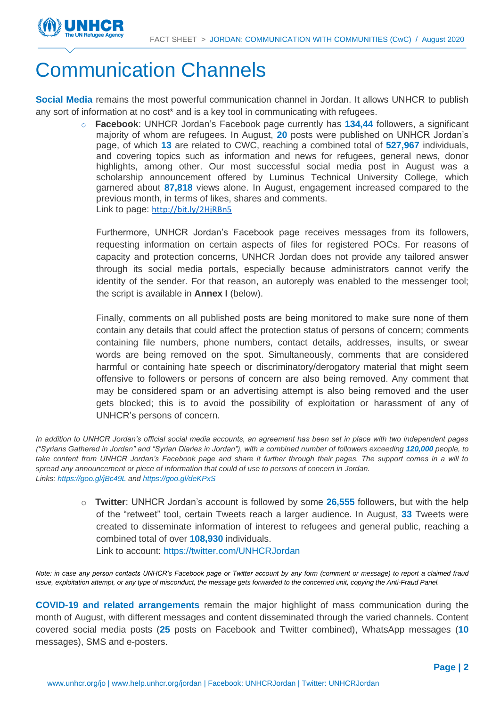

## Communication Channels

**Social Media** remains the most powerful communication channel in Jordan. It allows UNHCR to publish any sort of information at no cost\* and is a key tool in communicating with refugees.

> o **Facebook**: UNHCR Jordan's Facebook page currently has **134,44** followers, a significant majority of whom are refugees. In August, **20** posts were published on UNHCR Jordan's page, of which **13** are related to CWC, reaching a combined total of **527,967** individuals, and covering topics such as information and news for refugees, general news, donor highlights, among other. Our most successful social media post in August was a scholarship announcement offered by Luminus Technical University College, which garnered about **87,818** views alone. In August, engagement increased compared to the previous month, in terms of likes, shares and comments. Link to page: <http://bit.ly/2HjRBn5>

Furthermore, UNHCR Jordan's Facebook page receives messages from its followers, requesting information on certain aspects of files for registered POCs. For reasons of capacity and protection concerns, UNHCR Jordan does not provide any tailored answer through its social media portals, especially because administrators cannot verify the identity of the sender. For that reason, an autoreply was enabled to the messenger tool; the script is available in **Annex I** (below).

Finally, comments on all published posts are being monitored to make sure none of them contain any details that could affect the protection status of persons of concern; comments containing file numbers, phone numbers, contact details, addresses, insults, or swear words are being removed on the spot. Simultaneously, comments that are considered harmful or containing hate speech or discriminatory/derogatory material that might seem offensive to followers or persons of concern are also being removed. Any comment that may be considered spam or an advertising attempt is also being removed and the user gets blocked; this is to avoid the possibility of exploitation or harassment of any of UNHCR's persons of concern.

*In addition to UNHCR Jordan's official social media accounts, an agreement has been set in place with two independent pages ("Syrians Gathered in Jordan" and "Syrian Diaries in Jordan"), with a combined number of followers exceeding 120,000 people, to take content from UNHCR Jordan's Facebook page and share it further through their pages. The support comes in a will to spread any announcement or piece of information that could of use to persons of concern in Jordan. Links[: https://goo.gl/jBc49L](https://goo.gl/jBc49L) and<https://goo.gl/deKPxS>*

> o **Twitter**: UNHCR Jordan's account is followed by some **26,555** followers, but with the help of the "retweet" tool, certain Tweets reach a larger audience. In August, **33** Tweets were created to disseminate information of interest to refugees and general public, reaching a combined total of over **108,930** individuals. Link to account:<https://twitter.com/UNHCRJordan>

*Note: in case any person contacts UNHCR's Facebook page or Twitter account by any form (comment or message) to report a claimed fraud issue, exploitation attempt, or any type of misconduct, the message gets forwarded to the concerned unit, copying the Anti-Fraud Panel.*

**COVID-19 and related arrangements** remain the major highlight of mass communication during the month of August, with different messages and content disseminated through the varied channels. Content covered social media posts (**25** posts on Facebook and Twitter combined), WhatsApp messages (**10** messages), SMS and e-posters.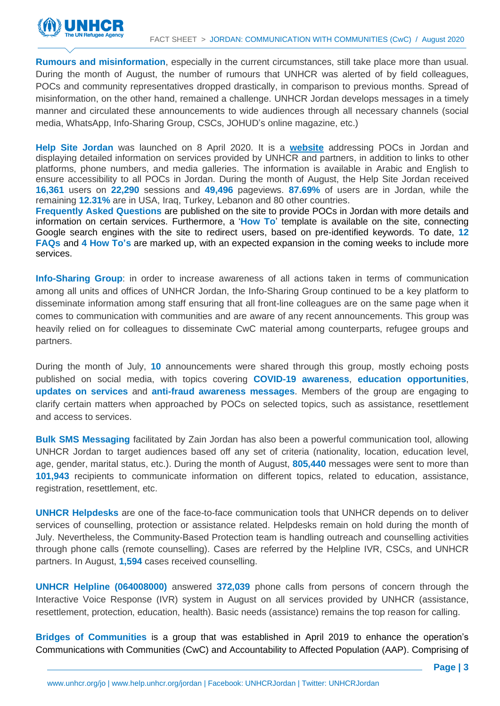

**Rumours and misinformation**, especially in the current circumstances, still take place more than usual. During the month of August, the number of rumours that UNHCR was alerted of by field colleagues, POCs and community representatives dropped drastically, in comparison to previous months. Spread of misinformation, on the other hand, remained a challenge. UNHCR Jordan develops messages in a timely manner and circulated these announcements to wide audiences through all necessary channels (social media, WhatsApp, Info-Sharing Group, CSCs, JOHUD's online magazine, etc.)

**Help Site Jordan** was launched on 8 April 2020. It is a **[website](https://help.unhcr.org/jordan/en/)** addressing POCs in Jordan and displaying detailed information on services provided by UNHCR and partners, in addition to links to other platforms, phone numbers, and media galleries. The information is available in Arabic and English to ensure accessibility to all POCs in Jordan. During the month of August, the Help Site Jordan received **16,361** users on **22,290** sessions and **49,496** pageviews. **87.69%** of users are in Jordan, while the remaining **12.31%** are in USA, Iraq, Turkey, Lebanon and 80 other countries.

**Frequently Asked Questions** are published on the site to provide POCs in Jordan with more details and information on certain services. Furthermore, a '**How To**' template is available on the site, connecting Google search engines with the site to redirect users, based on pre-identified keywords. To date, **12 FAQs** and **4 How To's** are marked up, with an expected expansion in the coming weeks to include more services.

**Info-Sharing Group**: in order to increase awareness of all actions taken in terms of communication among all units and offices of UNHCR Jordan, the Info-Sharing Group continued to be a key platform to disseminate information among staff ensuring that all front-line colleagues are on the same page when it comes to communication with communities and are aware of any recent announcements. This group was heavily relied on for colleagues to disseminate CwC material among counterparts, refugee groups and partners.

During the month of July, **10** announcements were shared through this group, mostly echoing posts published on social media, with topics covering **COVID-19 awareness**, **education opportunities**, **updates on services** and **anti-fraud awareness messages**. Members of the group are engaging to clarify certain matters when approached by POCs on selected topics, such as assistance, resettlement and access to services.

**Bulk SMS Messaging** facilitated by Zain Jordan has also been a powerful communication tool, allowing UNHCR Jordan to target audiences based off any set of criteria (nationality, location, education level, age, gender, marital status, etc.). During the month of August, **805,440** messages were sent to more than **101,943** recipients to communicate information on different topics, related to education, assistance, registration, resettlement, etc.

**UNHCR Helpdesks** are one of the face-to-face communication tools that UNHCR depends on to deliver services of counselling, protection or assistance related. Helpdesks remain on hold during the month of July. Nevertheless, the Community-Based Protection team is handling outreach and counselling activities through phone calls (remote counselling). Cases are referred by the Helpline IVR, CSCs, and UNHCR partners. In August, **1,594** cases received counselling.

**UNHCR Helpline (064008000)** answered **372,039** phone calls from persons of concern through the Interactive Voice Response (IVR) system in August on all services provided by UNHCR (assistance, resettlement, protection, education, health). Basic needs (assistance) remains the top reason for calling.

**Bridges of Communities** is a group that was established in April 2019 to enhance the operation's Communications with Communities (CwC) and Accountability to Affected Population (AAP). Comprising of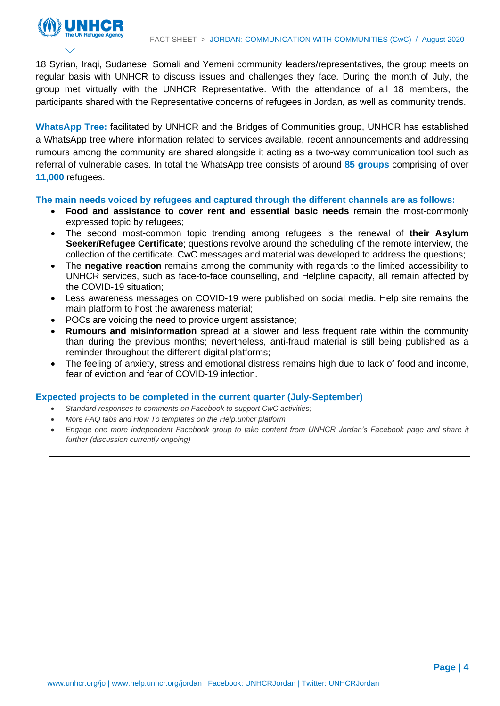

18 Syrian, Iraqi, Sudanese, Somali and Yemeni community leaders/representatives, the group meets on regular basis with UNHCR to discuss issues and challenges they face. During the month of July, the group met virtually with the UNHCR Representative. With the attendance of all 18 members, the participants shared with the Representative concerns of refugees in Jordan, as well as community trends.

**WhatsApp Tree:** facilitated by UNHCR and the Bridges of Communities group, UNHCR has established a WhatsApp tree where information related to services available, recent announcements and addressing rumours among the community are shared alongside it acting as a two-way communication tool such as referral of vulnerable cases. In total the WhatsApp tree consists of around **85 groups** comprising of over **11,000** refugees.

**The main needs voiced by refugees and captured through the different channels are as follows:** 

- **Food and assistance to cover rent and essential basic needs** remain the most-commonly expressed topic by refugees;
- The second most-common topic trending among refugees is the renewal of **their Asylum Seeker/Refugee Certificate**; questions revolve around the scheduling of the remote interview, the collection of the certificate. CwC messages and material was developed to address the questions;
- The **negative reaction** remains among the community with regards to the limited accessibility to UNHCR services, such as face-to-face counselling, and Helpline capacity, all remain affected by the COVID-19 situation;
- Less awareness messages on COVID-19 were published on social media. Help site remains the main platform to host the awareness material;
- POCs are voicing the need to provide urgent assistance;
- **Rumours and misinformation** spread at a slower and less frequent rate within the community than during the previous months; nevertheless, anti-fraud material is still being published as a reminder throughout the different digital platforms;
- The feeling of anxiety, stress and emotional distress remains high due to lack of food and income, fear of eviction and fear of COVID-19 infection.

#### **Expected projects to be completed in the current quarter (July-September)**

- *Standard responses to comments on Facebook to support CwC activities;*
- *More FAQ tabs and How To templates on the Help.unhcr platform*
- *Engage one more independent Facebook group to take content from UNHCR Jordan's Facebook page and share it further (discussion currently ongoing)*